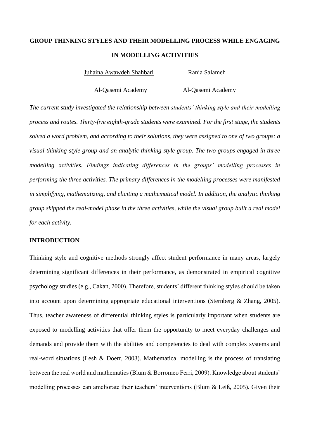# **GROUP THINKING STYLES AND THEIR MODELLING PROCESS WHILE ENGAGING IN MODELLING ACTIVITIES**

Juhaina Awawdeh Shahbari Rania Salameh

Al-Qasemi Academy Al-Qasemi Academy

*The current study investigated the relationship between students' thinking style and their modelling process and routes. Thirty-five eighth-grade students were examined. For the first stage, the students solved a word problem, and according to their solutions, they were assigned to one of two groups: a visual thinking style group and an analytic thinking style group. The two groups engaged in three modelling activities. Findings indicating differences in the groups' modelling processes in performing the three activities. The primary differences in the modelling processes were manifested in simplifying, mathematizing, and eliciting a mathematical model. In addition, the analytic thinking group skipped the real-model phase in the three activities, while the visual group built a real model for each activity.*

## **INTRODUCTION**

Thinking style and cognitive methods strongly affect student performance in many areas, largely determining significant differences in their performance, as demonstrated in empirical cognitive psychology studies (e.g., Cakan, 2000). Therefore, students' different thinking styles should be taken into account upon determining appropriate educational interventions (Sternberg & Zhang, 2005). Thus, teacher awareness of differential thinking styles is particularly important when students are exposed to modelling activities that offer them the opportunity to meet everyday challenges and demands and provide them with the abilities and competencies to deal with complex systems and real-word situations (Lesh & Doerr, 2003). Mathematical modelling is the process of translating between the real world and mathematics (Blum & Borromeo Ferri, 2009). Knowledge about students' modelling processes can ameliorate their teachers' interventions (Blum & Leiß, 2005). Given their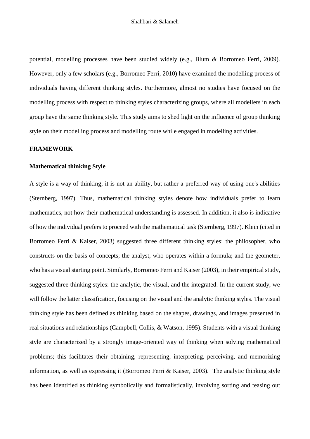potential, modelling processes have been studied widely (e.g., Blum & Borromeo Ferri, 2009). However, only a few scholars (e.g., Borromeo Ferri, 2010) have examined the modelling process of individuals having different thinking styles. Furthermore, almost no studies have focused on the modelling process with respect to thinking styles characterizing groups, where all modellers in each group have the same thinking style. This study aims to shed light on the influence of group thinking style on their modelling process and modelling route while engaged in modelling activities.

#### **FRAMEWORK**

#### **Mathematical thinking Style**

A style is a way of thinking; it is not an ability, but rather a preferred way of using one's abilities (Sternberg, 1997). Thus, mathematical thinking styles denote how individuals prefer to learn mathematics, not how their mathematical understanding is assessed. In addition, it also is indicative of how the individual prefers to proceed with the mathematical task (Sternberg, 1997). Klein (cited in Borromeo Ferri & Kaiser, 2003) suggested three different thinking styles: the philosopher, who constructs on the basis of concepts; the analyst, who operates within a formula; and the geometer, who has a visual starting point. Similarly, Borromeo Ferri and Kaiser (2003), in their empirical study, suggested three thinking styles: the analytic, the visual, and the integrated. In the current study, we will follow the latter classification, focusing on the visual and the analytic thinking styles. The visual thinking style has been defined as thinking based on the shapes, drawings, and images presented in real situations and relationships (Campbell, Collis, & Watson, 1995). Students with a visual thinking style are characterized by a strongly image-oriented way of thinking when solving mathematical problems; this facilitates their obtaining, representing, interpreting, perceiving, and memorizing information, as well as expressing it (Borromeo Ferri & Kaiser, 2003). The analytic thinking style has been identified as thinking symbolically and formalistically, involving sorting and teasing out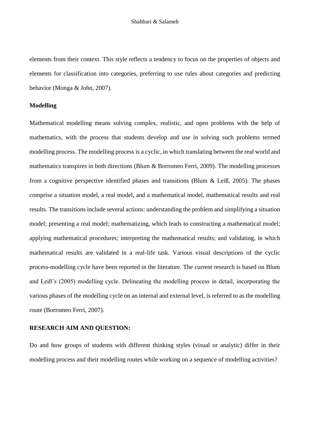elements from their context. This style reflects a tendency to focus on the properties of objects and elements for classification into categories, preferring to use rules about categories and predicting behavior (Monga & John, 2007).

#### **Modelling**

Mathematical modelling means solving complex, realistic, and open problems with the help of mathematics, with the process that students develop and use in solving such problems termed modelling process. The modelling process is a cyclic, in which translating between the real world and mathematics transpires in both directions (Blum & Borromeo Ferri, 2009). The modelling processes from a cognitive perspective identified phases and transitions (Blum & Leiß, 2005). The phases comprise a situation model, a real model, and a mathematical model, mathematical results and real results. The transitions include several actions: understanding the problem and simplifying a situation model; presenting a real model; mathematizing, which leads to constructing a mathematical model; applying mathematical procedures; interpreting the mathematical results; and validating, in which mathematical results are validated in a real-life task. Various visual descriptions of the cyclic process-modelling cycle have been reported in the literature. The current research is based on Blum and Leiß's (2005) modelling cycle. Delineating the modelling process in detail, incorporating the various phases of the modelling cycle on an internal and external level, is referred to as the modelling route (Borromeo Ferri, 2007).

### **RESEARCH AIM AND QUESTION:**

Do and how groups of students with different thinking styles (visual or analytic) differ in their modelling process and their modelling routes while working on a sequence of modelling activities?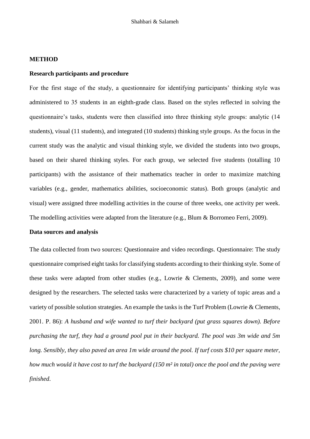#### **METHOD**

## **Research participants and procedure**

For the first stage of the study, a questionnaire for identifying participants' thinking style was administered to 35 students in an eighth-grade class. Based on the styles reflected in solving the questionnaire's tasks, students were then classified into three thinking style groups: analytic (14 students), visual (11 students), and integrated (10 students) thinking style groups. As the focus in the current study was the analytic and visual thinking style, we divided the students into two groups, based on their shared thinking styles. For each group, we selected five students (totalling 10 participants) with the assistance of their mathematics teacher in order to maximize matching variables (e.g., gender, mathematics abilities, socioeconomic status). Both groups (analytic and visual) were assigned three modelling activities in the course of three weeks, one activity per week. The modelling activities were adapted from the literature (e.g., Blum & Borromeo Ferri, 2009).

#### **Data sources and analysis**

The data collected from two sources: Questionnaire and video recordings. Questionnaire: The study questionnaire comprised eight tasks for classifying students according to their thinking style. Some of these tasks were adapted from other studies (e.g., Lowrie & Clements, 2009), and some were designed by the researchers. The selected tasks were characterized by a variety of topic areas and a variety of possible solution strategies. An example the tasks is the Turf Problem (Lowrie & Clements, 2001. P. 86): *A husband and wife wanted to turf their backyard (put grass squares down). Before purchasing the turf, they had a ground pool put in their backyard. The pool was 3m wide and 5m long. Sensibly, they also paved an area 1m wide around the pool. If turf costs \$10 per square meter, how much would it have cost to turf the backyard (150 m² in total) once the pool and the paving were finished*.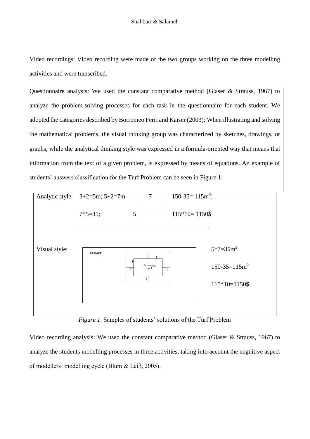Video recordings: Video recording were made of the two groups working on the three modelling activities and were transcribed.

Questionnaire analysis: We used the constant comparative method (Glaser & Strauss, 1967) to analyze the problem-solving processes for each task in the questionnaire for each student. We adopted the categories described by Borromeo Ferri and Kaiser (2003): When illustrating and solving the mathematical problems, the visual thinking group was characterized by sketches, drawings, or graphs, while the analytical thinking style was expressed in a formula-oriented way that means that information from the text of a given problem, is expressed by means of equations. An example of students' answers classification for the Turf Problem can be seen in Figure 1:



*Figure 1*. Samples of students' solutions of the Turf Problem

Video recording analysis: We used the constant comparative method (Glaser & Strauss, 1967) to analyze the students modelling processes in three activities, taking into account the cognitive aspect of modellers' modelling cycle (Blum & Leiß, 2005).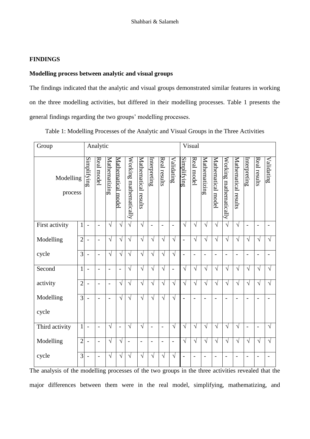### **FINDINGS**

## **Modelling process between analytic and visual groups**

The findings indicated that the analytic and visual groups demonstrated similar features in working on the three modelling activities, but differed in their modelling processes. Table 1 presents the general findings regarding the two groups' modelling processes.

Table 1: Modelling Processes of the Analytic and Visual Groups in the Three Activities

| Group                |                | Analytic                 |                |                |                    |                        |                      |                              | Visual                   |                |                          |                |                          |                              |                        |                          |                                 |                |                |
|----------------------|----------------|--------------------------|----------------|----------------|--------------------|------------------------|----------------------|------------------------------|--------------------------|----------------|--------------------------|----------------|--------------------------|------------------------------|------------------------|--------------------------|---------------------------------|----------------|----------------|
| Modelling<br>process |                | Simplifying              | Real model     | Mathematizing  | Mathematical model | Working mathematically | Mathematical results | Intertpreting                | Real results             | Validating     | <u>Simplifying</u>       | Real model     | <b>Mathematizing</b>     | Mathematical model           | Working mathematically | Mathematical results     | $\ln \frac{\sin \pi}{\sin \pi}$ | Real results   | Validating     |
| First activity       | $\mathbf{1}$   | $\overline{\phantom{a}}$ | $\overline{a}$ | $\sqrt{}$      | $\sqrt{ }$         | $\sqrt{}$              | $\sqrt{ }$           | $\overline{a}$               | $\overline{\phantom{0}}$ | $\blacksquare$ | $\sqrt{}$                | $\sqrt{ }$     | $\sqrt{}$                | $\sqrt{ }$                   | $\sqrt{}$              | $\sqrt{}$                | $\overline{a}$                  | $\overline{a}$ | $\overline{a}$ |
| Modelling            | $\overline{2}$ |                          | $\overline{a}$ | $\sqrt{ }$     | $\sqrt{ }$         | $\sqrt{}$              | $\sqrt{}$            | $\sqrt{ }$                   | $\sqrt{ }$               | $\sqrt{ }$     | $\overline{a}$           | $\sqrt{ }$     | $\sqrt{ }$               | $\sqrt{ }$                   | $\sqrt{}$              | $\sqrt{ }$               | $\sqrt{}$                       | $\sqrt{}$      | $\sqrt{}$      |
| cycle                | $\overline{3}$ |                          | $\overline{a}$ | $\sqrt{}$      | $\sqrt{ }$         | $\sqrt{}$              | $\sqrt{}$            | $\sqrt{}$                    | $\sqrt{ }$               | $\sqrt{}$      | $\overline{a}$           | $\blacksquare$ |                          | $\overline{\phantom{a}}$     | $\overline{a}$         | $\overline{\phantom{a}}$ | $\overline{\phantom{a}}$        | $\overline{a}$ | $\overline{a}$ |
| Second               | $\mathbf{1}$   |                          | $\overline{a}$ | $\overline{a}$ | $\overline{a}$     | $\sqrt{}$              | $\sqrt{}$            | $\sqrt{ }$                   | $\sqrt{ }$               | $\overline{a}$ | $\sqrt{ }$               | $\sqrt{ }$     | $\sqrt{ }$               | $\sqrt{ }$                   | $\sqrt{}$              | $\sqrt{}$                | $\sqrt{}$                       | $\sqrt{}$      | $\sqrt{}$      |
| activity             | $\overline{2}$ |                          | $\overline{a}$ | $\overline{a}$ | $\sqrt{ }$         | $\sqrt{}$              | $\sqrt{}$            | $\sqrt{}$                    | $\sqrt{}$                | $\sqrt{}$      | $\sqrt{}$                | $\sqrt{ }$     | $\sqrt{}$                | $\sqrt{ }$                   | $\sqrt{}$              | $\sqrt{}$                | $\sqrt{}$                       | $\sqrt{}$      | $\sqrt{}$      |
| Modelling<br>cycle   | $\overline{3}$ |                          | $\overline{a}$ | $\overline{a}$ | $\sqrt{}$          | $\sqrt{}$              | $\sqrt{ }$           | $\sqrt{ }$                   | $\sqrt{}$                | $\sqrt{ }$     | $\overline{\phantom{a}}$ | $\blacksquare$ | $\overline{\phantom{a}}$ | $\blacksquare$               | $\overline{a}$         | $\overline{a}$           | $\overline{a}$                  | $\overline{a}$ | $\overline{a}$ |
| Third activity       | $\mathbf{1}$   | $\blacksquare$           | $\overline{a}$ | $\sqrt{}$      | $\overline{a}$     | $\sqrt{}$              | $\sqrt{}$            | $\overline{a}$               | $\overline{\phantom{0}}$ | $\sqrt{ }$     | $\sqrt{}$                | $\sqrt{ }$     | $\sqrt{}$                | $\sqrt{ }$                   | $\sqrt{}$              | $\sqrt{ }$               | $\overline{a}$                  | Ĭ.             | $\sqrt{}$      |
| Modelling            | $\overline{2}$ |                          | $\overline{a}$ | $\sqrt{}$      | $\sqrt{}$          | $\blacksquare$         | $\overline{a}$       | $\qquad \qquad \blacksquare$ | $\overline{\phantom{0}}$ | $\blacksquare$ | $\sqrt{ }$               | $\sqrt{ }$     | $\sqrt{ }$               | $\sqrt{ }$                   | $\sqrt{}$              | $\sqrt{}$                | $\sqrt{}$                       | $\sqrt{}$      | $\sqrt{}$      |
| cycle                | 3              |                          | $\overline{a}$ | $\sqrt{}$      | V                  | $\sqrt{}$              | $\sqrt{}$            | $\sqrt{}$                    | $\sqrt{}$                | V              |                          |                |                          | $\qquad \qquad \blacksquare$ |                        |                          |                                 |                |                |

The analysis of the modelling processes of the two groups in the three activities revealed that the major differences between them were in the real model, simplifying, mathematizing, and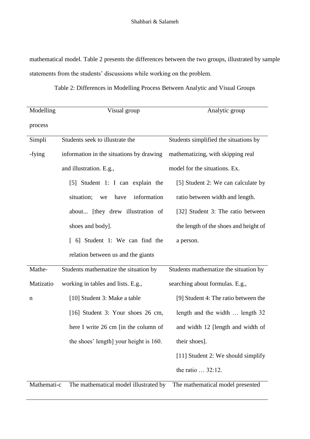mathematical model. Table 2 presents the differences between the two groups, illustrated by sample statements from the students' discussions while working on the problem.

| Table 2: Differences in Modelling Process Between Analytic and Visual Groups |  |  |  |  |
|------------------------------------------------------------------------------|--|--|--|--|
|------------------------------------------------------------------------------|--|--|--|--|

| Modelling   | Visual group                             | Analytic group                        |
|-------------|------------------------------------------|---------------------------------------|
| process     |                                          |                                       |
| Simpli      | Students seek to illustrate the          | Students simplified the situations by |
| -fying      | information in the situations by drawing | mathematizing, with skipping real     |
|             | and illustration. E.g.,                  | model for the situations. Ex.         |
|             | [5] Student 1: I can explain the         | [5] Student 2: We can calculate by    |
|             | situation;<br>information<br>have<br>we  | ratio between width and length.       |
|             | about [they drew illustration of         | [32] Student 3: The ratio between     |
|             | shoes and body].                         | the length of the shoes and height of |
|             | [ 6] Student 1: We can find the          | a person.                             |
|             | relation between us and the giants       |                                       |
| Mathe-      | Students mathematize the situation by    | Students mathematize the situation by |
| Matizatio   | working in tables and lists. E.g.,       | searching about formulas. E.g.,       |
| n           | [10] Student 3: Make a table             | [9] Student 4: The ratio between the  |
|             | [16] Student 3: Your shoes 26 cm,        | length and the width  length 32       |
|             | here I write 26 cm [in the column of     | and width 12 [length and width of     |
|             | the shoes' length] your height is 160.   | their shoes].                         |
|             |                                          | [11] Student 2: We should simplify    |
|             |                                          | the ratio  32:12.                     |
| Mathemati-c | The mathematical model illustrated by    | The mathematical model presented      |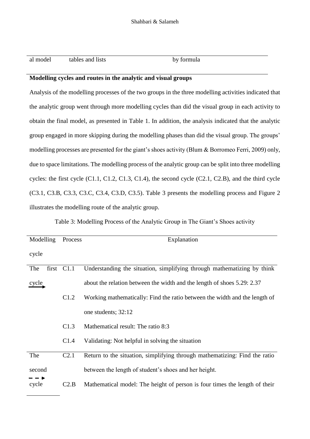al model tables and lists by formula

## **Modelling cycles and routes in the analytic and visual groups**

Analysis of the modelling processes of the two groups in the three modelling activities indicated that the analytic group went through more modelling cycles than did the visual group in each activity to obtain the final model, as presented in Table 1. In addition, the analysis indicated that the analytic group engaged in more skipping during the modelling phases than did the visual group. The groups' modelling processes are presented for the giant's shoes activity (Blum & Borromeo Ferri, 2009) only, due to space limitations. The modelling process of the analytic group can be split into three modelling cycles: the first cycle (C1.1, C1.2, C1.3, C1.4), the second cycle (C2.1, C2.B), and the third cycle (C3.1, C3.B, C3.3, C3.C, C3.4, C3.D, C3.5). Table 3 presents the modelling process and Figure 2 illustrates the modelling route of the analytic group.

Table 3: Modelling Process of the Analytic Group in The Giant's Shoes activity

| Modelling | Process          | Explanation                                                                |
|-----------|------------------|----------------------------------------------------------------------------|
| cycle     |                  |                                                                            |
| The       | first C1.1       | Understanding the situation, simplifying through mathematizing by think    |
| cycle     |                  | about the relation between the width and the length of shoes 5.29: 2.37    |
|           | C1.2             | Working mathematically: Find the ratio between the width and the length of |
|           |                  | one students; 32:12                                                        |
|           | C1.3             | Mathematical result: The ratio 8:3                                         |
|           | C1.4             | Validating: Not helpful in solving the situation                           |
| The       | C <sub>2.1</sub> | Return to the situation, simplifying through mathematizing: Find the ratio |
| second    |                  | between the length of student's shoes and her height.                      |
| cycle     | C2.B             | Mathematical model: The height of person is four times the length of their |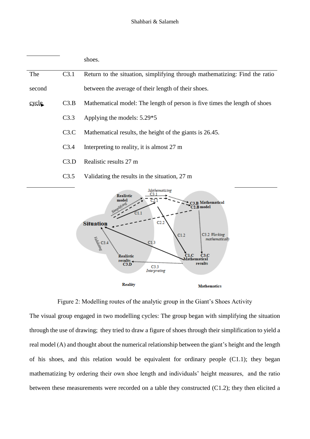|        |                  | shoes.                                                                     |
|--------|------------------|----------------------------------------------------------------------------|
| The    | C3.1             | Return to the situation, simplifying through mathematizing: Find the ratio |
| second |                  | between the average of their length of their shoes.                        |
| cycle  | C3.B             | Mathematical model: The length of person is five times the length of shoes |
|        | C3.3             | Applying the models: 5.29*5                                                |
|        | C3.C             | Mathematical results, the height of the giants is 26.45.                   |
|        | C <sub>3.4</sub> | Interpreting to reality, it is almost 27 m                                 |
|        | C3.D             | Realistic results 27 m                                                     |
|        | C3.5             | Validating the results in the situation, 27 m                              |
|        |                  | Mathematising<br>$C3.1$<br><b>Realistic</b>                                |



Figure 2: Modelling routes of the analytic group in the Giant's Shoes Activity

The visual group engaged in two modelling cycles: The group began with simplifying the situation through the use of drawing; they tried to draw a figure of shoes through their simplification to yield a real model (A) and thought about the numerical relationship between the giant's height and the length of his shoes, and this relation would be equivalent for ordinary people (C1.1); they began mathematizing by ordering their own shoe length and individuals' height measures, and the ratio between these measurements were recorded on a table they constructed (C1.2); they then elicited a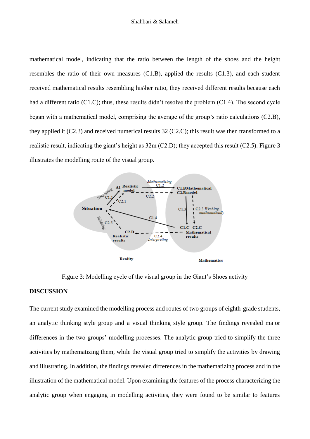mathematical model, indicating that the ratio between the length of the shoes and the height resembles the ratio of their own measures (C1.B), applied the results (C1.3), and each student received mathematical results resembling his\her ratio, they received different results because each had a different ratio (C1.C); thus, these results didn't resolve the problem (C1.4). The second cycle began with a mathematical model, comprising the average of the group's ratio calculations (C2.B), they applied it (C2.3) and received numerical results 32 (C2.C); this result was then transformed to a realistic result, indicating the giant's height as 32m (C2.D); they accepted this result (C2.5). Figure 3 illustrates the modelling route of the visual group.



Figure 3: Modelling cycle of the visual group in the Giant's Shoes activity

#### **DISCUSSION**

The current study examined the modelling process and routes of two groups of eighth-grade students, an analytic thinking style group and a visual thinking style group. The findings revealed major differences in the two groups' modelling processes. The analytic group tried to simplify the three activities by mathematizing them, while the visual group tried to simplify the activities by drawing and illustrating. In addition, the findings revealed differences in the mathematizing process and in the illustration of the mathematical model. Upon examining the features of the process characterizing the analytic group when engaging in modelling activities, they were found to be similar to features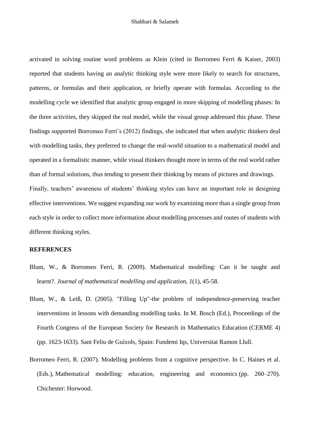activated in solving routine word problems as Klein (cited in Borromeo Ferri & Kaiser, 2003) reported that students having an analytic thinking style were more likely to search for structures, patterns, or formulas and their application, or briefly operate with formulas. According to the modelling cycle we identified that analytic group engaged in more skipping of modelling phases: In the three activities, they skipped the real model, while the visual group addressed this phase. These findings supported Borromeo Ferri's (2012) findings, she indicated that when analytic thinkers deal with modelling tasks, they preferred to change the real-world situation to a mathematical model and operated in a formalistic manner, while visual thinkers thought more in terms of the real world rather than of formal solutions, thus tending to present their thinking by means of pictures and drawings. Finally, teachers' awareness of students' thinking styles can have an important role in designing effective interventions. We suggest expanding our work by examining more than a single group from each style in order to collect more information about modelling processes and routes of students with different thinking styles.

## **REFERENCES**

- Blum, W., & Borromeo Ferri, R. (2009). Mathematical modelling: Can it be taught and learnt?. *Journal of mathematical modelling and application, 1*(1), 45-58.
- Blum, W., & Leiß, D. (2005). "Filling Up"-the problem of independence-preserving teacher interventions in lessons with demanding modelling tasks. In M. Bosch (Ed.), Proceedings of the Fourth Congress of the European Society for Research in Mathematics Education (CERME 4) (pp. 1623-1633). Sant Feliu de Guíxols, Spain: Fundemi Iqs, Universitat Ramon Llull.
- Borromeo Ferri, R. (2007). Modelling problems from a cognitive perspective. In C. Haines et al. (Eds.), Mathematical modelling: education, engineering and economics (pp. 260–270). Chichester: Horwood.